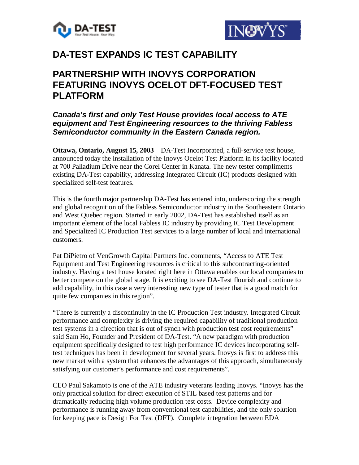



# **DA-TEST EXPANDS IC TEST CAPABILITY**

# **PARTNERSHIP WITH INOVYS CORPORATION FEATURING INOVYS OCELOT DFT-FOCUSED TEST PLATFORM**

## *Canada's first and only Test House provides local access to ATE equipment and Test Engineering resources to the thriving Fabless Semiconductor community in the Eastern Canada region.*

**Ottawa, Ontario, August 15, 2003** – DA-Test Incorporated, a full-service test house, announced today the installation of the Inovys Ocelot Test Platform in its facility located at 700 Palladium Drive near the Corel Center in Kanata. The new tester compliments existing DA-Test capability, addressing Integrated Circuit (IC) products designed with specialized self-test features.

This is the fourth major partnership DA-Test has entered into, underscoring the strength and global recognition of the Fabless Semiconductor industry in the Southeastern Ontario and West Quebec region. Started in early 2002, DA-Test has established itself as an important element of the local Fabless IC industry by providing IC Test Development and Specialized IC Production Test services to a large number of local and international customers.

Pat DiPietro of VenGrowth Capital Partners Inc. comments, "Access to ATE Test Equipment and Test Engineering resources is critical to this subcontracting-oriented industry. Having a test house located right here in Ottawa enables our local companies to better compete on the global stage. It is exciting to see DA-Test flourish and continue to add capability, in this case a very interesting new type of tester that is a good match for quite few companies in this region".

"There is currently a discontinuity in the IC Production Test industry. Integrated Circuit performance and complexity is driving the required capability of traditional production test systems in a direction that is out of synch with production test cost requirements" said Sam Ho, Founder and President of DA-Test. "A new paradigm with production equipment specifically designed to test high performance IC devices incorporating selftest techniques has been in development for several years. Inovys is first to address this new market with a system that enhances the advantages of this approach, simultaneously satisfying our customer's performance and cost requirements".

CEO Paul Sakamoto is one of the ATE industry veterans leading Inovys. "Inovys has the only practical solution for direct execution of STIL based test patterns and for dramatically reducing high volume production test costs. Device complexity and performance is running away from conventional test capabilities, and the only solution for keeping pace is Design For Test (DFT). Complete integration between EDA